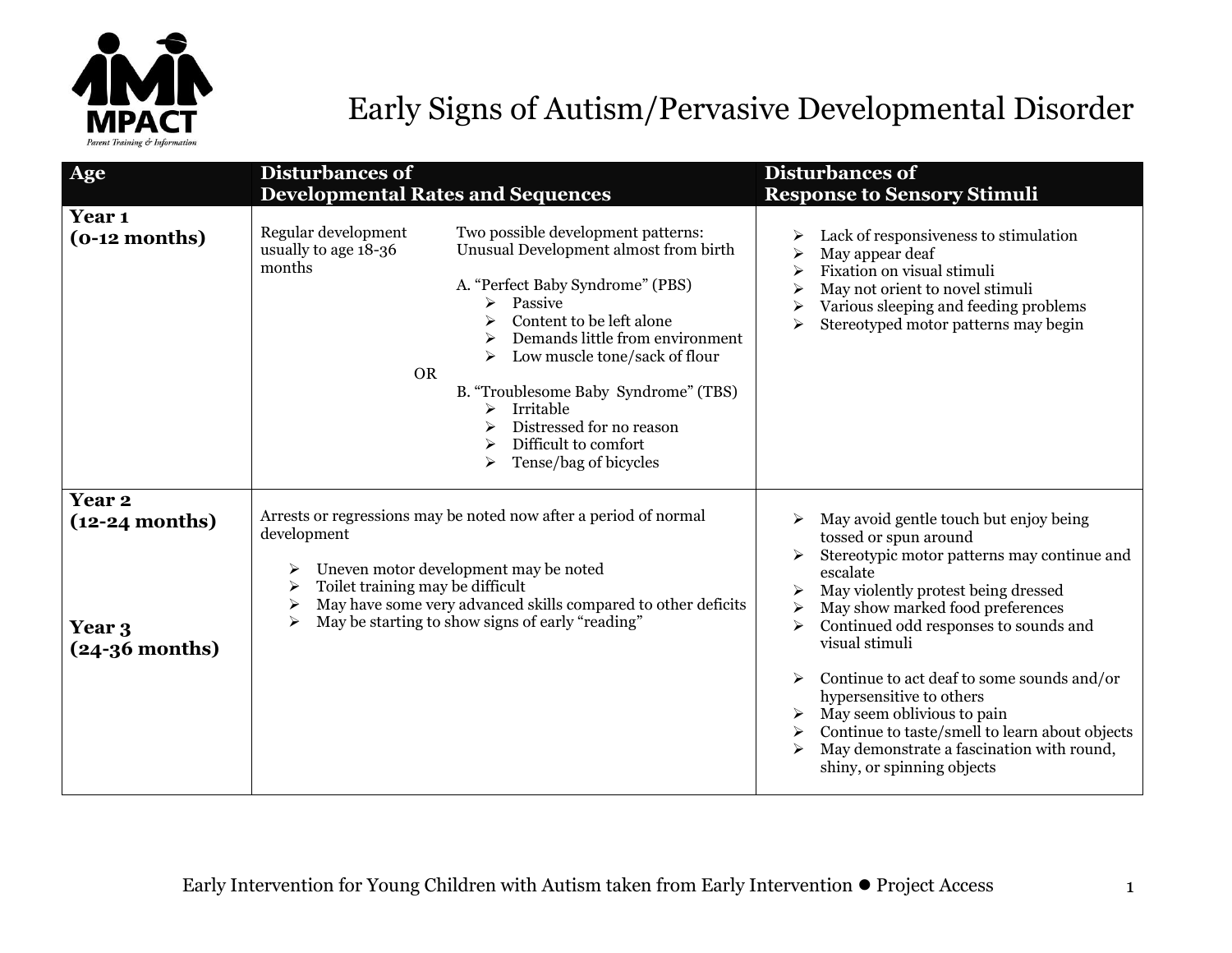

## Early Signs of Autism/Pervasive Developmental Disorder

| Age                                                             | <b>Disturbances of</b><br><b>Developmental Rates and Sequences</b>                                                                                                                                                                                                                                                                                                                                                                                | <b>Disturbances of</b><br><b>Response to Sensory Stimuli</b>                                                                                                                                                                                                                                                                                                                                                                                                                                          |
|-----------------------------------------------------------------|---------------------------------------------------------------------------------------------------------------------------------------------------------------------------------------------------------------------------------------------------------------------------------------------------------------------------------------------------------------------------------------------------------------------------------------------------|-------------------------------------------------------------------------------------------------------------------------------------------------------------------------------------------------------------------------------------------------------------------------------------------------------------------------------------------------------------------------------------------------------------------------------------------------------------------------------------------------------|
| Year <sub>1</sub><br>$(o-12 months)$                            | Regular development<br>Two possible development patterns:<br>Unusual Development almost from birth<br>usually to age 18-36<br>months<br>A. "Perfect Baby Syndrome" (PBS)<br>Passive<br>➤<br>Content to be left alone<br>Demands little from environment<br>Low muscle tone/sack of flour<br><b>OR</b><br>B. "Troublesome Baby Syndrome" (TBS)<br>Irritable<br>➤<br>Distressed for no reason<br>Difficult to comfort<br>➤<br>Tense/bag of bicycles | Lack of responsiveness to stimulation<br>May appear deaf<br>Fixation on visual stimuli<br>May not orient to novel stimuli<br>Various sleeping and feeding problems<br>Stereotyped motor patterns may begin<br>➤                                                                                                                                                                                                                                                                                       |
| <b>Year 2</b><br>$(12-24$ months)<br>Year 3<br>$(24-36$ months) | Arrests or regressions may be noted now after a period of normal<br>development<br>Uneven motor development may be noted<br>Toilet training may be difficult<br>May have some very advanced skills compared to other deficits<br>May be starting to show signs of early "reading"                                                                                                                                                                 | May avoid gentle touch but enjoy being<br>tossed or spun around<br>Stereotypic motor patterns may continue and<br>escalate<br>May violently protest being dressed<br>May show marked food preferences<br>Continued odd responses to sounds and<br>visual stimuli<br>Continue to act deaf to some sounds and/or<br>hypersensitive to others<br>May seem oblivious to pain<br>Continue to taste/smell to learn about objects<br>May demonstrate a fascination with round,<br>shiny, or spinning objects |